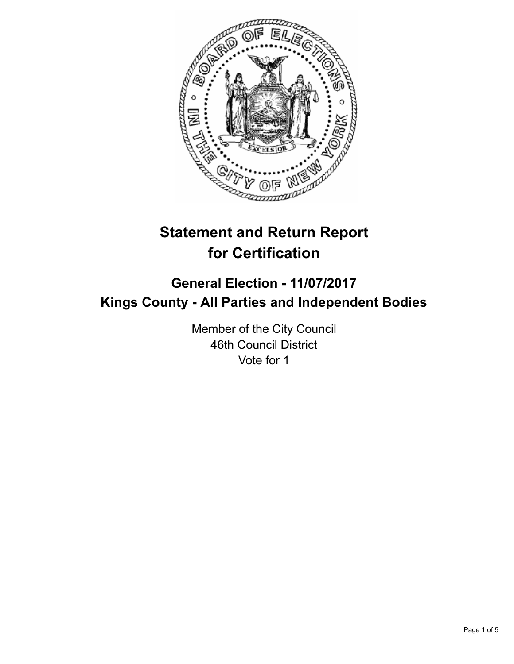

# **Statement and Return Report for Certification**

## **General Election - 11/07/2017 Kings County - All Parties and Independent Bodies**

Member of the City Council 46th Council District Vote for 1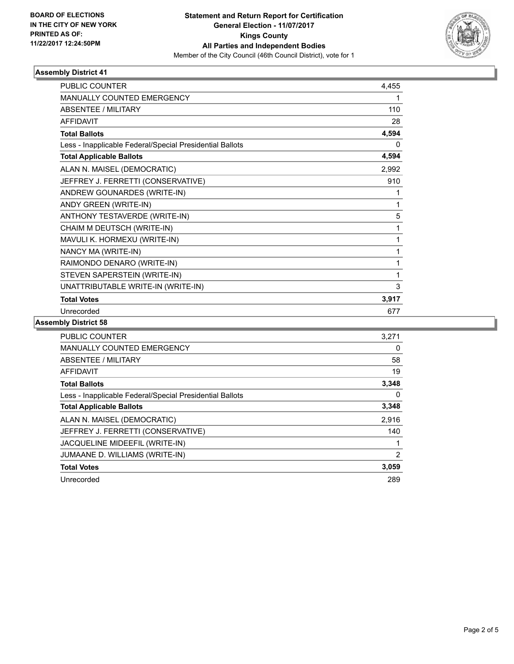

#### **Assembly District 41**

| <b>PUBLIC COUNTER</b>                                    | 4,455 |
|----------------------------------------------------------|-------|
| <b>MANUALLY COUNTED EMERGENCY</b>                        |       |
| <b>ABSENTEE / MILITARY</b>                               | 110   |
| <b>AFFIDAVIT</b>                                         | 28    |
| <b>Total Ballots</b>                                     | 4,594 |
| Less - Inapplicable Federal/Special Presidential Ballots | 0     |
| <b>Total Applicable Ballots</b>                          | 4,594 |
| ALAN N. MAISEL (DEMOCRATIC)                              | 2,992 |
| JEFFREY J. FERRETTI (CONSERVATIVE)                       | 910   |
| ANDREW GOUNARDES (WRITE-IN)                              | 1     |
| ANDY GREEN (WRITE-IN)                                    | 1     |
| ANTHONY TESTAVERDE (WRITE-IN)                            | 5     |
| CHAIM M DEUTSCH (WRITE-IN)                               | 1     |
| MAVULI K. HORMEXU (WRITE-IN)                             | 1     |
| NANCY MA (WRITE-IN)                                      | 1     |
| RAIMONDO DENARO (WRITE-IN)                               | 1     |
| STEVEN SAPERSTEIN (WRITE-IN)                             | 1     |
| UNATTRIBUTABLE WRITE-IN (WRITE-IN)                       | 3     |
| <b>Total Votes</b>                                       | 3,917 |
| Unrecorded                                               | 677   |

#### **Assembly District 58**

| <b>PUBLIC COUNTER</b>                                    | 3.271 |
|----------------------------------------------------------|-------|
| <b>MANUALLY COUNTED EMERGENCY</b>                        | 0     |
| ABSENTEE / MILITARY                                      | 58    |
| AFFIDAVIT                                                | 19    |
| <b>Total Ballots</b>                                     | 3,348 |
| Less - Inapplicable Federal/Special Presidential Ballots | 0     |
| <b>Total Applicable Ballots</b>                          | 3,348 |
| ALAN N. MAISEL (DEMOCRATIC)                              | 2,916 |
| JEFFREY J. FERRETTI (CONSERVATIVE)                       | 140   |
| JACQUELINE MIDEEFIL (WRITE-IN)                           |       |
| JUMAANE D. WILLIAMS (WRITE-IN)                           | 2     |
| <b>Total Votes</b>                                       | 3,059 |
| Unrecorded                                               | 289   |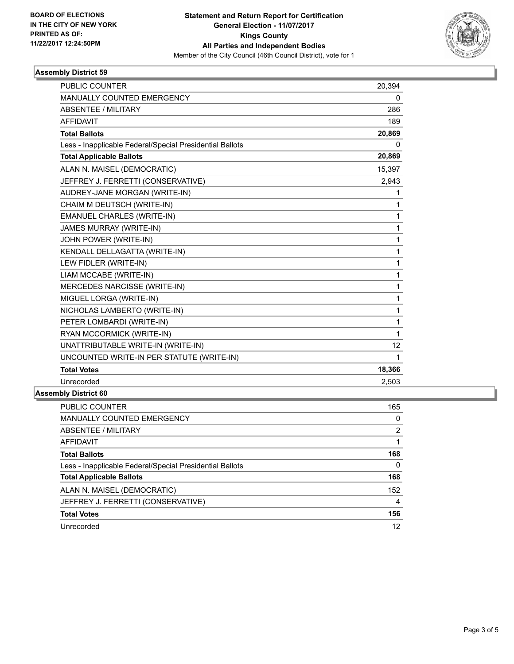

#### **Assembly District 59**

| <b>PUBLIC COUNTER</b>                                    | 20,394 |
|----------------------------------------------------------|--------|
| <b>MANUALLY COUNTED EMERGENCY</b>                        | 0      |
| <b>ABSENTEE / MILITARY</b>                               | 286    |
| <b>AFFIDAVIT</b>                                         | 189    |
| <b>Total Ballots</b>                                     | 20,869 |
| Less - Inapplicable Federal/Special Presidential Ballots | 0      |
| <b>Total Applicable Ballots</b>                          | 20,869 |
| ALAN N. MAISEL (DEMOCRATIC)                              | 15,397 |
| JEFFREY J. FERRETTI (CONSERVATIVE)                       | 2,943  |
| AUDREY-JANE MORGAN (WRITE-IN)                            | 1      |
| CHAIM M DEUTSCH (WRITE-IN)                               | 1      |
| <b>EMANUEL CHARLES (WRITE-IN)</b>                        | 1      |
| <b>JAMES MURRAY (WRITE-IN)</b>                           | 1      |
| JOHN POWER (WRITE-IN)                                    | 1      |
| KENDALL DELLAGATTA (WRITE-IN)                            | 1      |
| LEW FIDLER (WRITE-IN)                                    | 1      |
| LIAM MCCABE (WRITE-IN)                                   | 1      |
| MERCEDES NARCISSE (WRITE-IN)                             | 1      |
| MIGUEL LORGA (WRITE-IN)                                  | 1      |
| NICHOLAS LAMBERTO (WRITE-IN)                             | 1      |
| PETER LOMBARDI (WRITE-IN)                                | 1      |
| RYAN MCCORMICK (WRITE-IN)                                | 1      |
| UNATTRIBUTABLE WRITE-IN (WRITE-IN)                       | 12     |
| UNCOUNTED WRITE-IN PER STATUTE (WRITE-IN)                | 1      |
| <b>Total Votes</b>                                       | 18,366 |
| Unrecorded                                               | 2,503  |

### **Assembly District 60**

| <b>PUBLIC COUNTER</b>                                    | 165 |
|----------------------------------------------------------|-----|
| <b>MANUALLY COUNTED EMERGENCY</b>                        | 0   |
| ABSENTEE / MILITARY                                      | 2   |
| AFFIDAVIT                                                |     |
| <b>Total Ballots</b>                                     | 168 |
| Less - Inapplicable Federal/Special Presidential Ballots | 0   |
| <b>Total Applicable Ballots</b>                          | 168 |
| ALAN N. MAISEL (DEMOCRATIC)                              | 152 |
| JEFFREY J. FERRETTI (CONSERVATIVE)                       | 4   |
| <b>Total Votes</b>                                       | 156 |
| Unrecorded                                               | 12  |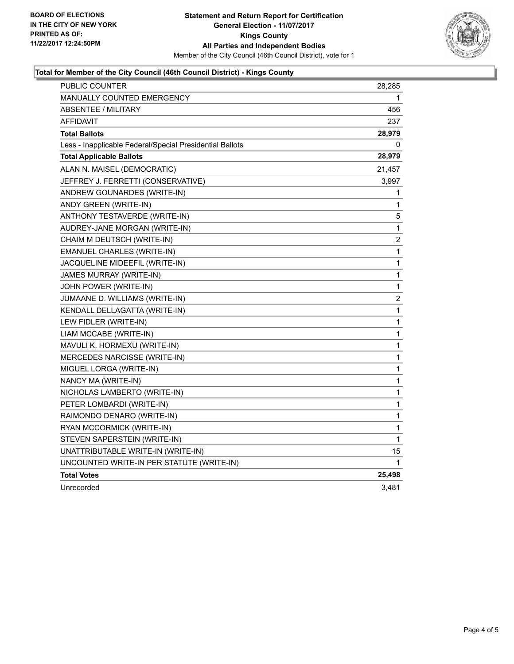

#### **Total for Member of the City Council (46th Council District) - Kings County**

| PUBLIC COUNTER                                           | 28,285       |
|----------------------------------------------------------|--------------|
| <b>MANUALLY COUNTED EMERGENCY</b>                        | 1            |
| <b>ABSENTEE / MILITARY</b>                               | 456          |
| <b>AFFIDAVIT</b>                                         | 237          |
| <b>Total Ballots</b>                                     | 28,979       |
| Less - Inapplicable Federal/Special Presidential Ballots | 0            |
| <b>Total Applicable Ballots</b>                          | 28,979       |
| ALAN N. MAISEL (DEMOCRATIC)                              | 21,457       |
| JEFFREY J. FERRETTI (CONSERVATIVE)                       | 3,997        |
| ANDREW GOUNARDES (WRITE-IN)                              | 1            |
| ANDY GREEN (WRITE-IN)                                    | 1            |
| ANTHONY TESTAVERDE (WRITE-IN)                            | 5            |
| AUDREY-JANE MORGAN (WRITE-IN)                            | $\mathbf{1}$ |
| CHAIM M DEUTSCH (WRITE-IN)                               | 2            |
| EMANUEL CHARLES (WRITE-IN)                               | $\mathbf 1$  |
| JACQUELINE MIDEEFIL (WRITE-IN)                           | 1            |
| JAMES MURRAY (WRITE-IN)                                  | 1            |
| JOHN POWER (WRITE-IN)                                    | 1            |
| JUMAANE D. WILLIAMS (WRITE-IN)                           | 2            |
| KENDALL DELLAGATTA (WRITE-IN)                            | $\mathbf{1}$ |
| LEW FIDLER (WRITE-IN)                                    | $\mathbf 1$  |
| LIAM MCCABE (WRITE-IN)                                   | 1            |
| MAVULI K. HORMEXU (WRITE-IN)                             | 1            |
| MERCEDES NARCISSE (WRITE-IN)                             | 1            |
| MIGUEL LORGA (WRITE-IN)                                  | 1            |
| NANCY MA (WRITE-IN)                                      | 1            |
| NICHOLAS LAMBERTO (WRITE-IN)                             | 1            |
| PETER LOMBARDI (WRITE-IN)                                | 1            |
| RAIMONDO DENARO (WRITE-IN)                               | 1            |
| RYAN MCCORMICK (WRITE-IN)                                | 1            |
| STEVEN SAPERSTEIN (WRITE-IN)                             | 1            |
| UNATTRIBUTABLE WRITE-IN (WRITE-IN)                       | 15           |
| UNCOUNTED WRITE-IN PER STATUTE (WRITE-IN)                | 1            |
| <b>Total Votes</b>                                       | 25,498       |
| Unrecorded                                               | 3,481        |